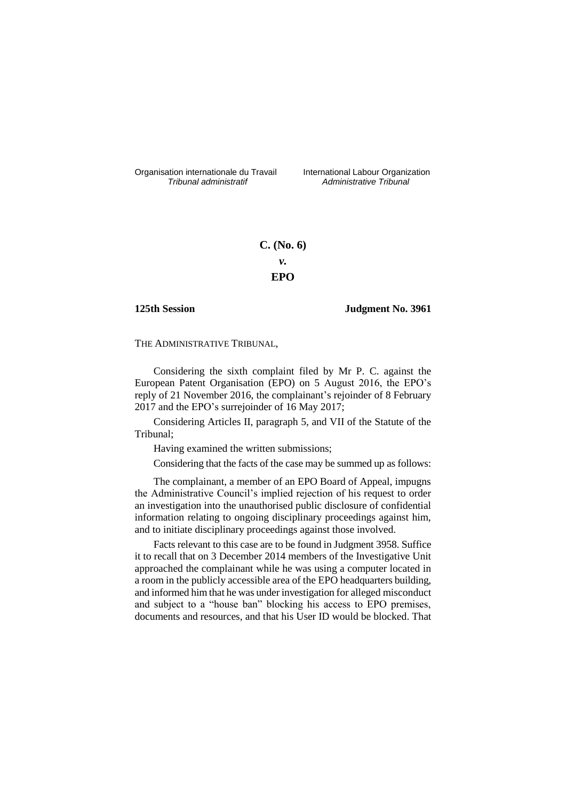Organisation internationale du Travail liternational Labour Organization<br> *Tribunal administratif Administrative Tribunal* 

*Tribunal administratif Administrative Tribunal*

# **C. (No. 6)** *v.* **EPO**

## **125th Session Judgment No. 3961**

THE ADMINISTRATIVE TRIBUNAL,

Considering the sixth complaint filed by Mr P. C. against the European Patent Organisation (EPO) on 5 August 2016, the EPO's reply of 21 November 2016, the complainant's rejoinder of 8 February 2017 and the EPO's surrejoinder of 16 May 2017;

Considering Articles II, paragraph 5, and VII of the Statute of the Tribunal;

Having examined the written submissions;

Considering that the facts of the case may be summed up as follows:

The complainant, a member of an EPO Board of Appeal, impugns the Administrative Council's implied rejection of his request to order an investigation into the unauthorised public disclosure of confidential information relating to ongoing disciplinary proceedings against him, and to initiate disciplinary proceedings against those involved.

Facts relevant to this case are to be found in Judgment 3958. Suffice it to recall that on 3 December 2014 members of the Investigative Unit approached the complainant while he was using a computer located in a room in the publicly accessible area of the EPO headquarters building, and informed him that he was under investigation for alleged misconduct and subject to a "house ban" blocking his access to EPO premises, documents and resources, and that his User ID would be blocked. That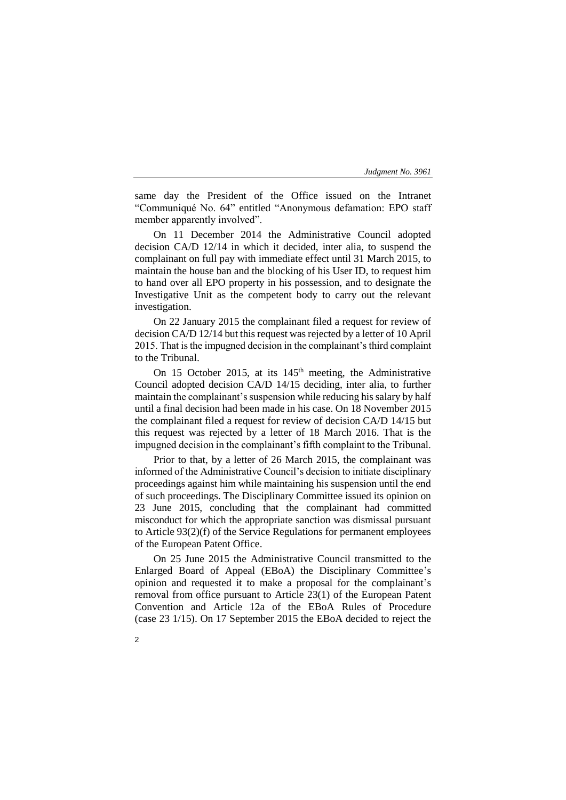same day the President of the Office issued on the Intranet "Communiqué No. 64" entitled "Anonymous defamation: EPO staff member apparently involved".

On 11 December 2014 the Administrative Council adopted decision CA/D 12/14 in which it decided, inter alia, to suspend the complainant on full pay with immediate effect until 31 March 2015, to maintain the house ban and the blocking of his User ID, to request him to hand over all EPO property in his possession, and to designate the Investigative Unit as the competent body to carry out the relevant investigation.

On 22 January 2015 the complainant filed a request for review of decision CA/D 12/14 but this request was rejected by a letter of 10 April 2015. That is the impugned decision in the complainant's third complaint to the Tribunal.

On 15 October 2015, at its  $145<sup>th</sup>$  meeting, the Administrative Council adopted decision CA/D 14/15 deciding, inter alia, to further maintain the complainant's suspension while reducing his salary by half until a final decision had been made in his case. On 18 November 2015 the complainant filed a request for review of decision CA/D 14/15 but this request was rejected by a letter of 18 March 2016. That is the impugned decision in the complainant's fifth complaint to the Tribunal.

Prior to that, by a letter of 26 March 2015, the complainant was informed of the Administrative Council's decision to initiate disciplinary proceedings against him while maintaining his suspension until the end of such proceedings. The Disciplinary Committee issued its opinion on 23 June 2015, concluding that the complainant had committed misconduct for which the appropriate sanction was dismissal pursuant to Article 93(2)(f) of the Service Regulations for permanent employees of the European Patent Office.

On 25 June 2015 the Administrative Council transmitted to the Enlarged Board of Appeal (EBoA) the Disciplinary Committee's opinion and requested it to make a proposal for the complainant's removal from office pursuant to Article 23(1) of the European Patent Convention and Article 12a of the EBoA Rules of Procedure (case 23 1/15). On 17 September 2015 the EBoA decided to reject the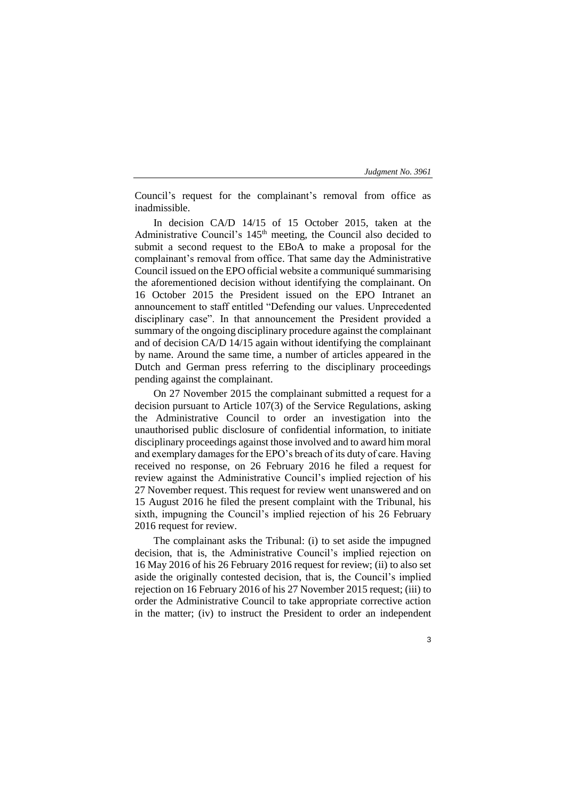Council's request for the complainant's removal from office as inadmissible.

In decision CA/D 14/15 of 15 October 2015, taken at the Administrative Council's 145<sup>th</sup> meeting, the Council also decided to submit a second request to the EBoA to make a proposal for the complainant's removal from office. That same day the Administrative Council issued on the EPO official website a communiqué summarising the aforementioned decision without identifying the complainant. On 16 October 2015 the President issued on the EPO Intranet an announcement to staff entitled "Defending our values. Unprecedented disciplinary case". In that announcement the President provided a summary of the ongoing disciplinary procedure against the complainant and of decision CA/D 14/15 again without identifying the complainant by name. Around the same time, a number of articles appeared in the Dutch and German press referring to the disciplinary proceedings pending against the complainant.

On 27 November 2015 the complainant submitted a request for a decision pursuant to Article 107(3) of the Service Regulations, asking the Administrative Council to order an investigation into the unauthorised public disclosure of confidential information, to initiate disciplinary proceedings against those involved and to award him moral and exemplary damages for the EPO's breach of its duty of care. Having received no response, on 26 February 2016 he filed a request for review against the Administrative Council's implied rejection of his 27 November request. This request for review went unanswered and on 15 August 2016 he filed the present complaint with the Tribunal, his sixth, impugning the Council's implied rejection of his 26 February 2016 request for review.

The complainant asks the Tribunal: (i) to set aside the impugned decision, that is, the Administrative Council's implied rejection on 16 May 2016 of his 26 February 2016 request for review; (ii) to also set aside the originally contested decision, that is, the Council's implied rejection on 16 February 2016 of his 27 November 2015 request; (iii) to order the Administrative Council to take appropriate corrective action in the matter; (iv) to instruct the President to order an independent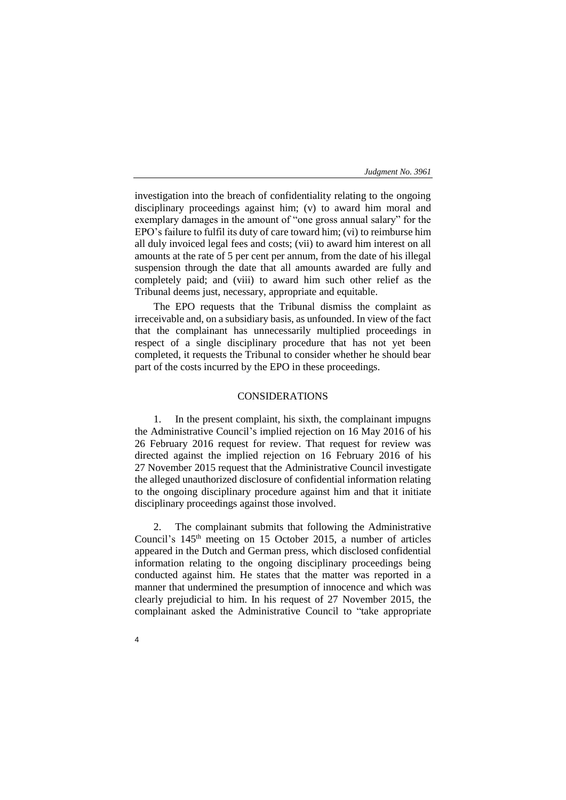investigation into the breach of confidentiality relating to the ongoing disciplinary proceedings against him; (v) to award him moral and exemplary damages in the amount of "one gross annual salary" for the EPO's failure to fulfil its duty of care toward him; (vi) to reimburse him all duly invoiced legal fees and costs; (vii) to award him interest on all amounts at the rate of 5 per cent per annum, from the date of his illegal suspension through the date that all amounts awarded are fully and completely paid; and (viii) to award him such other relief as the Tribunal deems just, necessary, appropriate and equitable.

The EPO requests that the Tribunal dismiss the complaint as irreceivable and, on a subsidiary basis, as unfounded. In view of the fact that the complainant has unnecessarily multiplied proceedings in respect of a single disciplinary procedure that has not yet been completed, it requests the Tribunal to consider whether he should bear part of the costs incurred by the EPO in these proceedings.

# CONSIDERATIONS

1. In the present complaint, his sixth, the complainant impugns the Administrative Council's implied rejection on 16 May 2016 of his 26 February 2016 request for review. That request for review was directed against the implied rejection on 16 February 2016 of his 27 November 2015 request that the Administrative Council investigate the alleged unauthorized disclosure of confidential information relating to the ongoing disciplinary procedure against him and that it initiate disciplinary proceedings against those involved.

The complainant submits that following the Administrative Council's  $145<sup>th</sup>$  meeting on 15 October 2015, a number of articles appeared in the Dutch and German press, which disclosed confidential information relating to the ongoing disciplinary proceedings being conducted against him. He states that the matter was reported in a manner that undermined the presumption of innocence and which was clearly prejudicial to him. In his request of 27 November 2015, the complainant asked the Administrative Council to "take appropriate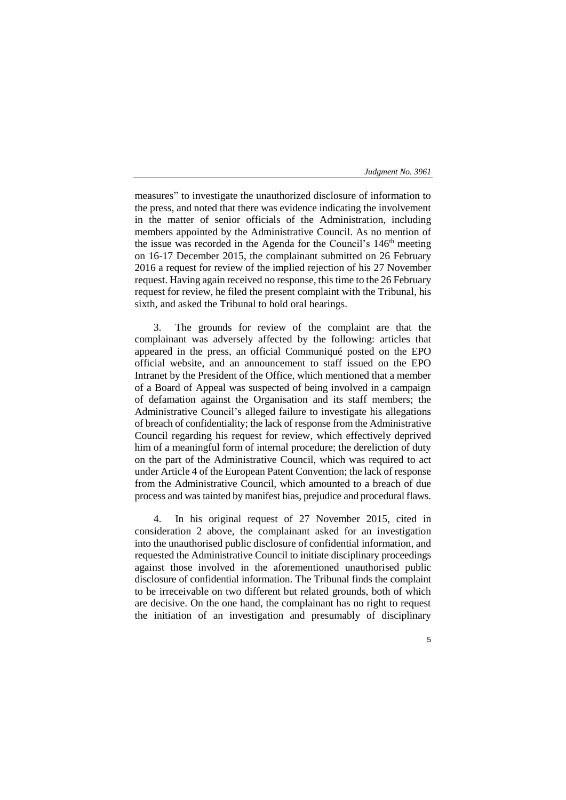measures" to investigate the unauthorized disclosure of information to the press, and noted that there was evidence indicating the involvement in the matter of senior officials of the Administration, including members appointed by the Administrative Council. As no mention of the issue was recorded in the Agenda for the Council's  $146<sup>th</sup>$  meeting on 16-17 December 2015, the complainant submitted on 26 February 2016 a request for review of the implied rejection of his 27 November request. Having again received no response, this time to the 26 February request for review, he filed the present complaint with the Tribunal, his sixth, and asked the Tribunal to hold oral hearings.

3. The grounds for review of the complaint are that the complainant was adversely affected by the following: articles that appeared in the press, an official Communiqué posted on the EPO official website, and an announcement to staff issued on the EPO Intranet by the President of the Office, which mentioned that a member of a Board of Appeal was suspected of being involved in a campaign of defamation against the Organisation and its staff members; the Administrative Council's alleged failure to investigate his allegations of breach of confidentiality; the lack of response from the Administrative Council regarding his request for review, which effectively deprived him of a meaningful form of internal procedure; the dereliction of duty on the part of the Administrative Council, which was required to act under Article 4 of the European Patent Convention; the lack of response from the Administrative Council, which amounted to a breach of due process and was tainted by manifest bias, prejudice and procedural flaws.

4. In his original request of 27 November 2015, cited in consideration 2 above, the complainant asked for an investigation into the unauthorised public disclosure of confidential information, and requested the Administrative Council to initiate disciplinary proceedings against those involved in the aforementioned unauthorised public disclosure of confidential information. The Tribunal finds the complaint to be irreceivable on two different but related grounds, both of which are decisive. On the one hand, the complainant has no right to request the initiation of an investigation and presumably of disciplinary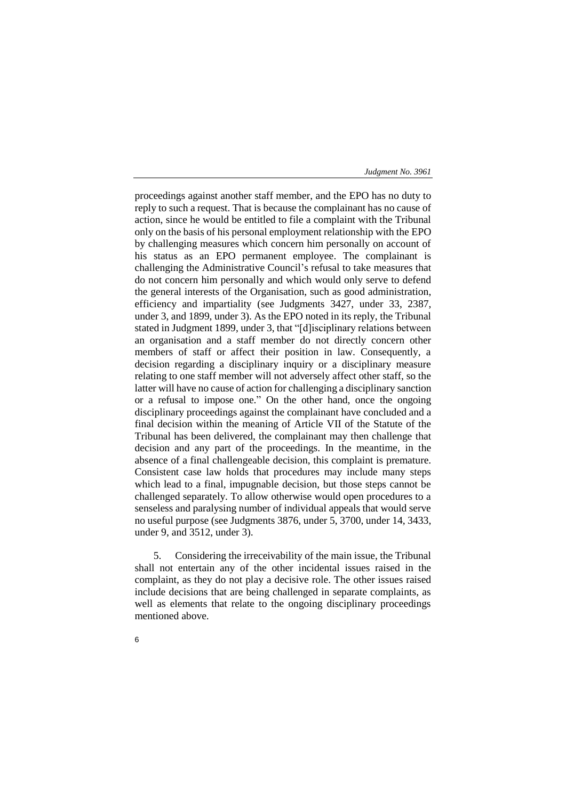proceedings against another staff member, and the EPO has no duty to reply to such a request. That is because the complainant has no cause of action, since he would be entitled to file a complaint with the Tribunal only on the basis of his personal employment relationship with the EPO by challenging measures which concern him personally on account of his status as an EPO permanent employee. The complainant is challenging the Administrative Council's refusal to take measures that do not concern him personally and which would only serve to defend the general interests of the Organisation, such as good administration, efficiency and impartiality (see Judgments 3427, under 33, 2387, under 3, and 1899, under 3). As the EPO noted in its reply, the Tribunal stated in Judgment 1899, under 3, that "[d]isciplinary relations between an organisation and a staff member do not directly concern other members of staff or affect their position in law. Consequently, a decision regarding a disciplinary inquiry or a disciplinary measure relating to one staff member will not adversely affect other staff, so the latter will have no cause of action for challenging a disciplinary sanction or a refusal to impose one." On the other hand, once the ongoing disciplinary proceedings against the complainant have concluded and a final decision within the meaning of Article VII of the Statute of the Tribunal has been delivered, the complainant may then challenge that decision and any part of the proceedings. In the meantime, in the absence of a final challengeable decision, this complaint is premature. Consistent case law holds that procedures may include many steps which lead to a final, impugnable decision, but those steps cannot be challenged separately. To allow otherwise would open procedures to a senseless and paralysing number of individual appeals that would serve no useful purpose (see Judgments 3876, under 5, 3700, under 14, 3433, under 9, and 3512, under 3).

5. Considering the irreceivability of the main issue, the Tribunal shall not entertain any of the other incidental issues raised in the complaint, as they do not play a decisive role. The other issues raised include decisions that are being challenged in separate complaints, as well as elements that relate to the ongoing disciplinary proceedings mentioned above.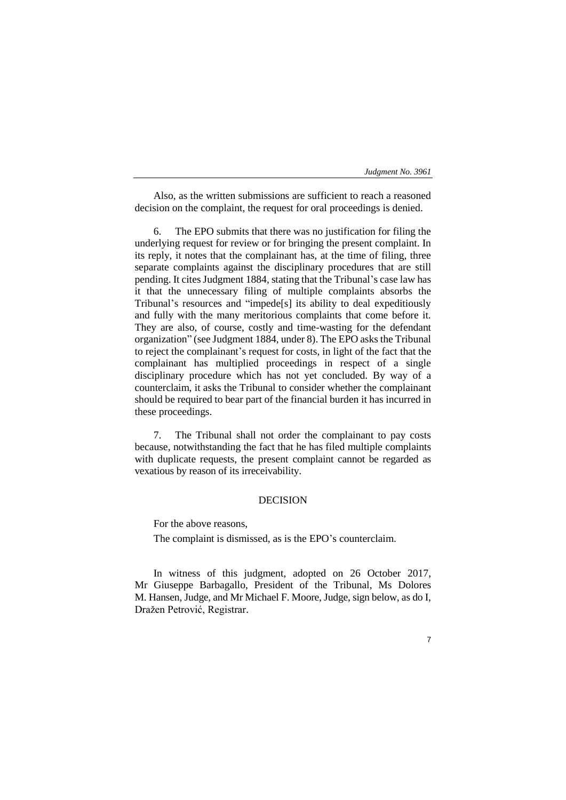| Judgment No. 3961 |
|-------------------|
|-------------------|

Also, as the written submissions are sufficient to reach a reasoned decision on the complaint, the request for oral proceedings is denied.

The EPO submits that there was no justification for filing the underlying request for review or for bringing the present complaint. In its reply, it notes that the complainant has, at the time of filing, three separate complaints against the disciplinary procedures that are still pending. It cites Judgment 1884, stating that the Tribunal's case law has it that the unnecessary filing of multiple complaints absorbs the Tribunal's resources and "impede[s] its ability to deal expeditiously and fully with the many meritorious complaints that come before it. They are also, of course, costly and time-wasting for the defendant organization" (see Judgment 1884, under 8). The EPO asks the Tribunal to reject the complainant's request for costs, in light of the fact that the complainant has multiplied proceedings in respect of a single disciplinary procedure which has not yet concluded. By way of a counterclaim, it asks the Tribunal to consider whether the complainant should be required to bear part of the financial burden it has incurred in these proceedings.

7. The Tribunal shall not order the complainant to pay costs because, notwithstanding the fact that he has filed multiple complaints with duplicate requests, the present complaint cannot be regarded as vexatious by reason of its irreceivability.

# DECISION

For the above reasons,

The complaint is dismissed, as is the EPO's counterclaim.

In witness of this judgment, adopted on 26 October 2017, Mr Giuseppe Barbagallo, President of the Tribunal, Ms Dolores M. Hansen, Judge, and Mr Michael F. Moore, Judge, sign below, as do I, Dražen Petrović, Registrar.